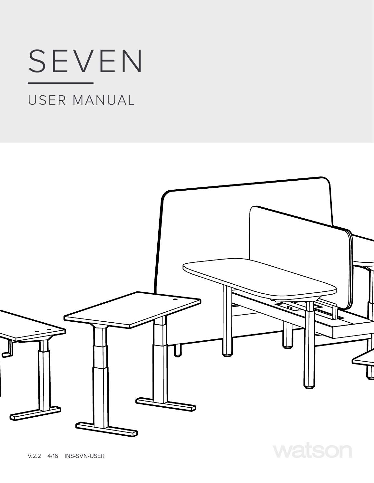# SEVEN

# USER MANUAL



V.2.2 4/16 INS-SVN-USER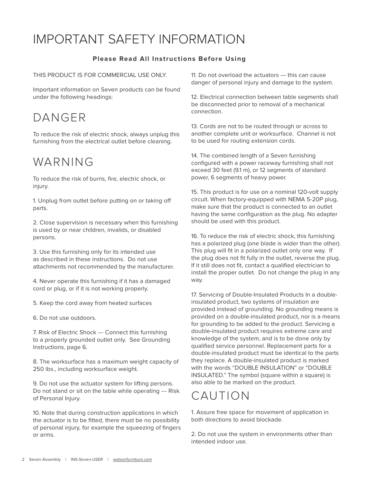### IMPORTANT SAFETY INFORMATION

### **Please Read All Instructions Before Using**

THIS PRODUCT IS FOR COMMERCIAL USE ONLY.

Important information on Seven products can be found under the following headings:

### DANGER

To reduce the risk of electric shock, always unplug this furnishing from the electrical outlet before cleaning.

### WARNING

To reduce the risk of burns, fire, electric shock, or injury.

1. Unplug from outlet before putting on or taking off parts.

2. Close supervision is necessary when this furnishing is used by or near children, invalids, or disabled persons.

3. Use this furnishing only for its intended use as described in these instructions. Do not use attachments not recommended by the manufacturer.

4. Never operate this furnishing if it has a damaged cord or plug, or if it is not working properly.

5. Keep the cord away from heated surfaces

6. Do not use outdoors.

7. Risk of Electric Shock --- Connect this furnishing to a properly grounded outlet only. See Grounding Instructions, page 6.

8. The worksurface has a maximum weight capacity of 250 lbs., including worksurface weight.

9. Do not use the actuator system for lifting persons. Do not stand or sit on the table while operating --- Risk of Personal Injury.

10. Note that during construction applications in which the actuator is to be fitted, there must be no possibility of personal injury, for example the squeezing of fingers or arms.

11. Do not overload the actuators --- this can cause danger of personal injury and damage to the system.

12. Electrical connection between table segments shall be disconnected prior to removal of a mechanical connection.

13. Cords are not to be routed through or across to another complete unit or worksurface. Channel is not to be used for routing extension cords.

14. The combined length of a Seven furnishing configured with a power raceway furnishing shall not exceed 30 feet (9.1 m), or 12 segments of standard power, 6 segments of heavy power.

15. This product is for use on a nominal 120-volt supply circuit. When factory-equipped with NEMA 5-20P plug, make sure that the product is connected to an outlet having the same configuration as the plug. No adapter should be used with this product.

16. To reduce the risk of electric shock, this furnishing has a polarized plug (one blade is wider than the other). This plug will fit in a polarized outlet only one way. If the plug does not fit fully in the outlet, reverse the plug. If it still does not fit, contact a qualified electrician to install the proper outlet. Do not change the plug in any way.

17. Servicing of Double-Insulated Products In a doubleinsulated product, two systems of insulation are provided instead of grounding. No grounding means is provided on a double-insulated product, nor is a means for grounding to be added to the product. Servicing a double-insulated product requires extreme care and knowledge of the system, and is to be done only by qualified service personnel. Replacement parts for a double-insulated product must be identical to the parts they replace. A double-insulated product is marked with the words "DOUBLE INSULATION" or "DOUBLE INSULATED." The symbol (square within a square) is also able to be marked on the product.

### CAUTION

1. Assure free space for movement of application in both directions to avoid blockade.

2. Do not use the system in environments other than intended indoor use.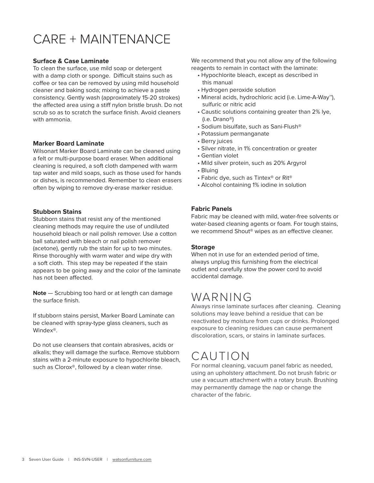## CARE + MAINTENANCE

#### **Surface & Case Laminate**

To clean the surface, use mild soap or detergent with a damp cloth or sponge. Difficult stains such as coffee or tea can be removed by using mild household cleaner and baking soda; mixing to achieve a paste consistency. Gently wash (approximately 15-20 strokes) the affected area using a stiff nylon bristle brush. Do not scrub so as to scratch the surface finish. Avoid cleaners with ammonia.

#### **Marker Board Laminate**

Wilsonart Marker Board Laminate can be cleaned using a felt or multi-purpose board eraser. When additional cleaning is required, a soft cloth dampened with warm tap water and mild soaps, such as those used for hands or dishes, is recommended. Remember to clean erasers often by wiping to remove dry-erase marker residue.

#### **Stubborn Stains**

Stubborn stains that resist any of the mentioned cleaning methods may require the use of undiluted household bleach or nail polish remover. Use a cotton ball saturated with bleach or nail polish remover (acetone), gently rub the stain for up to two minutes. Rinse thoroughly with warm water and wipe dry with a soft cloth. This step may be repeated if the stain appears to be going away and the color of the laminate has not been affected.

**Note** — Scrubbing too hard or at length can damage the surface finish.

If stubborn stains persist, Marker Board Laminate can be cleaned with spray-type glass cleaners, such as Windex®.

Do not use cleansers that contain abrasives, acids or alkalis; they will damage the surface. Remove stubborn stains with a 2-minute exposure to hypochlorite bleach, such as Clorox<sup>®</sup>, followed by a clean water rinse.

We recommend that you not allow any of the following reagents to remain in contact with the laminate:

- Hypochlorite bleach, except as described in this manual
- Hydrogen peroxide solution
- Mineral acids, hydrochloric acid (i.e. Lime-A-Way™), sulfuric or nitric acid
- Caustic solutions containing greater than 2% lye, (i.e. Drano®)
- Sodium bisulfate, such as Sani-Flush®
- Potassium permanganate
- Berry juices
- Silver nitrate, in 1% concentration or greater
- Gentian violet
- Mild silver protein, such as 20% Argyrol
- Bluing
- Fabric dye, such as Tintex® or Rit®
- Alcohol containing 1% iodine in solution

#### **Fabric Panels**

Fabric may be cleaned with mild, water-free solvents or water-based cleaning agents or foam. For tough stains, we recommend Shout® wipes as an effective cleaner.

#### **Storage**

When not in use for an extended period of time, always unplug this furnishing from the electrical outlet and carefully stow the power cord to avoid accidental damage.

### WARNING

Always rinse laminate surfaces after cleaning. Cleaning solutions may leave behind a residue that can be reactivated by moisture from cups or drinks. Prolonged exposure to cleaning residues can cause permanent discoloration, scars, or stains in laminate surfaces.

### CAUTION

For normal cleaning, vacuum panel fabric as needed, using an upholstery attachment. Do not brush fabric or use a vacuum attachment with a rotary brush. Brushing may permanently damage the nap or change the character of the fabric.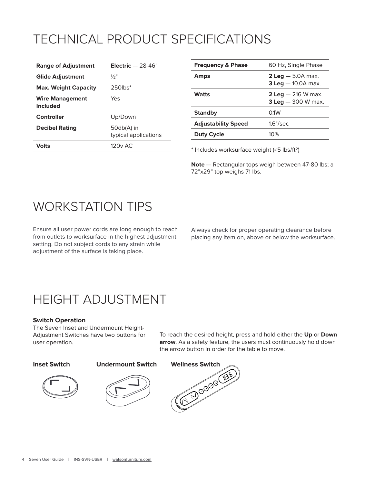# TECHNICAL PRODUCT SPECIFICATIONS

| <b>Range of Adjustment</b>                | Electric $-28-46"$                 |
|-------------------------------------------|------------------------------------|
| <b>Glide Adjustment</b>                   | $\frac{1}{2}$ "                    |
| <b>Max. Weight Capacity</b>               | $250$ lbs $*$                      |
| <b>Wire Management</b><br><b>Included</b> | Yes                                |
| Controller                                | Up/Down                            |
| <b>Decibel Rating</b>                     | 50db(A) in<br>typical applications |
| Volts                                     | 120 <sub>v</sub> AC                |

| <b>Frequency &amp; Phase</b> | 60 Hz, Single Phase                                        |
|------------------------------|------------------------------------------------------------|
| <b>Amps</b>                  | <b>2 Leg</b> $-$ 5.0A max.<br><b>3 Leg</b> $-$ 10.0A max.  |
| <b>Watts</b>                 | <b>2 Leg</b> $-$ 216 W max.<br><b>3 Leg</b> $-$ 300 W max. |
| <b>Standby</b>               | 0.1W                                                       |
| <b>Adjustability Speed</b>   | $1.6$ "/sec                                                |
| <b>Duty Cycle</b>            | 10%                                                        |

\* Includes worksurface weight (≈5 lbs/ft2)

**Note** — Rectangular tops weigh between 47-80 lbs; a 72"x29" top weighs 71 lbs.

### WORKSTATION TIPS

Ensure all user power cords are long enough to reach from outlets to worksurface in the highest adjustment setting. Do not subject cords to any strain while adjustment of the surface is taking place.

Always check for proper operating clearance before placing any item on, above or below the worksurface.

### HEIGHT ADJUSTMENT

#### **Switch Operation**

The Seven Inset and Undermount Height-Adjustment Switches have two buttons for user operation.

To reach the desired height, press and hold either the **Up** or **Down arrow**. As a safety feature, the users must continuously hold down the arrow button in order for the table to move.







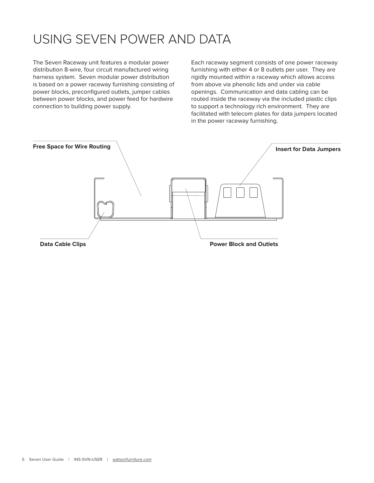## USING SEVEN POWER AND DATA

The Seven Raceway unit features a modular power distribution 8-wire, four circuit manufactured wiring harness system. Seven modular power distribution is based on a power raceway furnishing consisting of power blocks, preconfigured outlets, jumper cables between power blocks, and power feed for hardwire connection to building power supply.

Each raceway segment consists of one power raceway furnishing with either 4 or 8 outlets per user. They are rigidly mounted within a raceway which allows access from above via phenolic lids and under via cable openings. Communication and data cabling can be routed inside the raceway via the included plastic clips to support a technology rich environment. They are facilitated with telecom plates for data jumpers located in the power raceway furnishing.

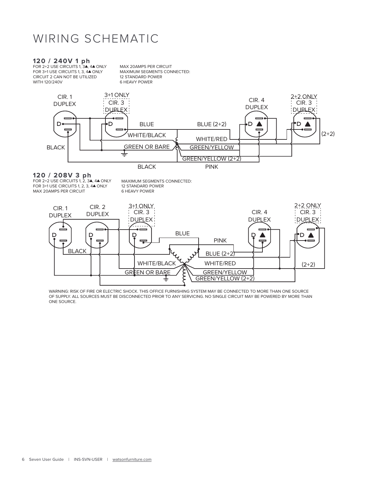### WIRING SCHEMATIC

**120 / 240V 1 ph**<br>FOR 2+2 USE CIRCUITS 1, 3**A**, 4**A** ONLY FOR 3+1 USE CIRCUITS 1, 3, 4<sup>4</sup> ONLY CIRCUIT 2 CAN NOT BE UTILIZED WITH 120/240V

MAX 20AMPS PER CIRCUIT MAXIMUM SEGMENTS CONNECTED: 12 STANDARD POWER 6 HEAVY POWER



**120 / 208V 3 ph<br>FOR 2+2 USE CIRCUITS 1, 2, 34, 44 ONLY** FOR 3+1 USE CIRCUITS 1, 2, 3, 4<sup>4</sup> ONLY MAX 20AMPS PER CIRCUIT

MAXIMUM SEGMENTS CONNECTED: 12 STANDARD POWER 6 HEAVY POWER



WARNING: RISK OF FIRE OR ELECTRIC SHOCK. THIS OFFICE FURNISHING SYSTEM MAY BE CONNECTED TO MORE THAN ONE SOURCE OF SUPPLY. ALL SOURCES MUST BE DISCONNECTED PRIOR TO ANY SERVICING. NO SINGLE CIRCUIT MAY BE POWERED BY MORE THAN ONE SOURCE.